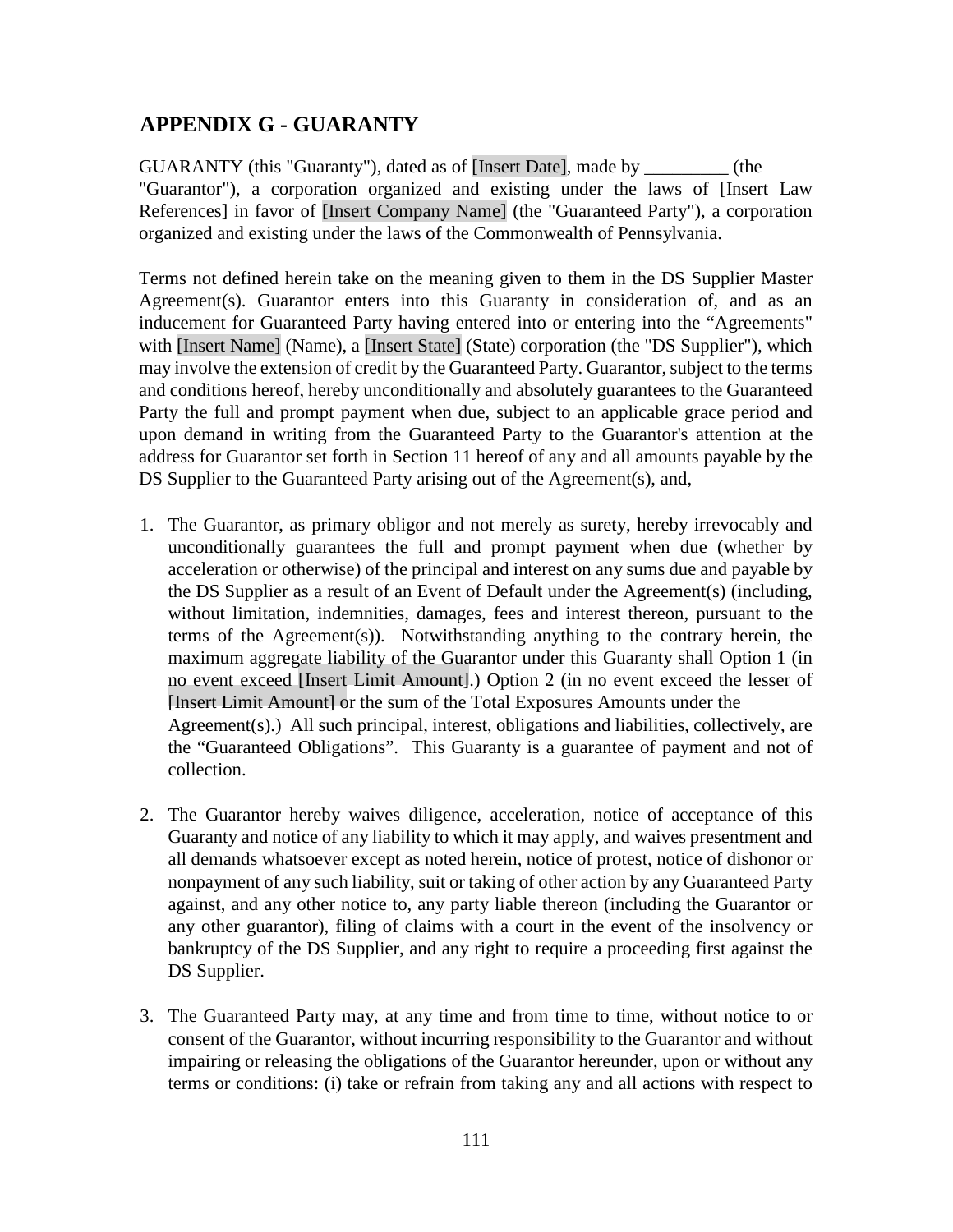## **APPENDIX G - GUARANTY**

GUARANTY (this "Guaranty"), dated as of [Insert Date], made by  $(the$ "Guarantor"), a corporation organized and existing under the laws of [Insert Law References] in favor of [Insert Company Name] (the "Guaranteed Party"), a corporation organized and existing under the laws of the Commonwealth of Pennsylvania.

Terms not defined herein take on the meaning given to them in the DS Supplier Master Agreement(s). Guarantor enters into this Guaranty in consideration of, and as an inducement for Guaranteed Party having entered into or entering into the "Agreements" with [Insert Name] (Name), a [Insert State] (State) corporation (the "DS Supplier"), which may involve the extension of credit by the Guaranteed Party. Guarantor, subject to the terms and conditions hereof, hereby unconditionally and absolutely guarantees to the Guaranteed Party the full and prompt payment when due, subject to an applicable grace period and upon demand in writing from the Guaranteed Party to the Guarantor's attention at the address for Guarantor set forth in Section 11 hereof of any and all amounts payable by the DS Supplier to the Guaranteed Party arising out of the Agreement(s), and,

- 1. The Guarantor, as primary obligor and not merely as surety, hereby irrevocably and unconditionally guarantees the full and prompt payment when due (whether by acceleration or otherwise) of the principal and interest on any sums due and payable by the DS Supplier as a result of an Event of Default under the Agreement(s) (including, without limitation, indemnities, damages, fees and interest thereon, pursuant to the terms of the Agreement(s)). Notwithstanding anything to the contrary herein, the maximum aggregate liability of the Guarantor under this Guaranty shall Option 1 (in no event exceed [Insert Limit Amount].) Option 2 (in no event exceed the lesser of [Insert Limit Amount] or the sum of the Total Exposures Amounts under the Agreement(s).) All such principal, interest, obligations and liabilities, collectively, are the "Guaranteed Obligations". This Guaranty is a guarantee of payment and not of collection.
- 2. The Guarantor hereby waives diligence, acceleration, notice of acceptance of this Guaranty and notice of any liability to which it may apply, and waives presentment and all demands whatsoever except as noted herein, notice of protest, notice of dishonor or nonpayment of any such liability, suit or taking of other action by any Guaranteed Party against, and any other notice to, any party liable thereon (including the Guarantor or any other guarantor), filing of claims with a court in the event of the insolvency or bankruptcy of the DS Supplier, and any right to require a proceeding first against the DS Supplier.
- 3. The Guaranteed Party may, at any time and from time to time, without notice to or consent of the Guarantor, without incurring responsibility to the Guarantor and without impairing or releasing the obligations of the Guarantor hereunder, upon or without any terms or conditions: (i) take or refrain from taking any and all actions with respect to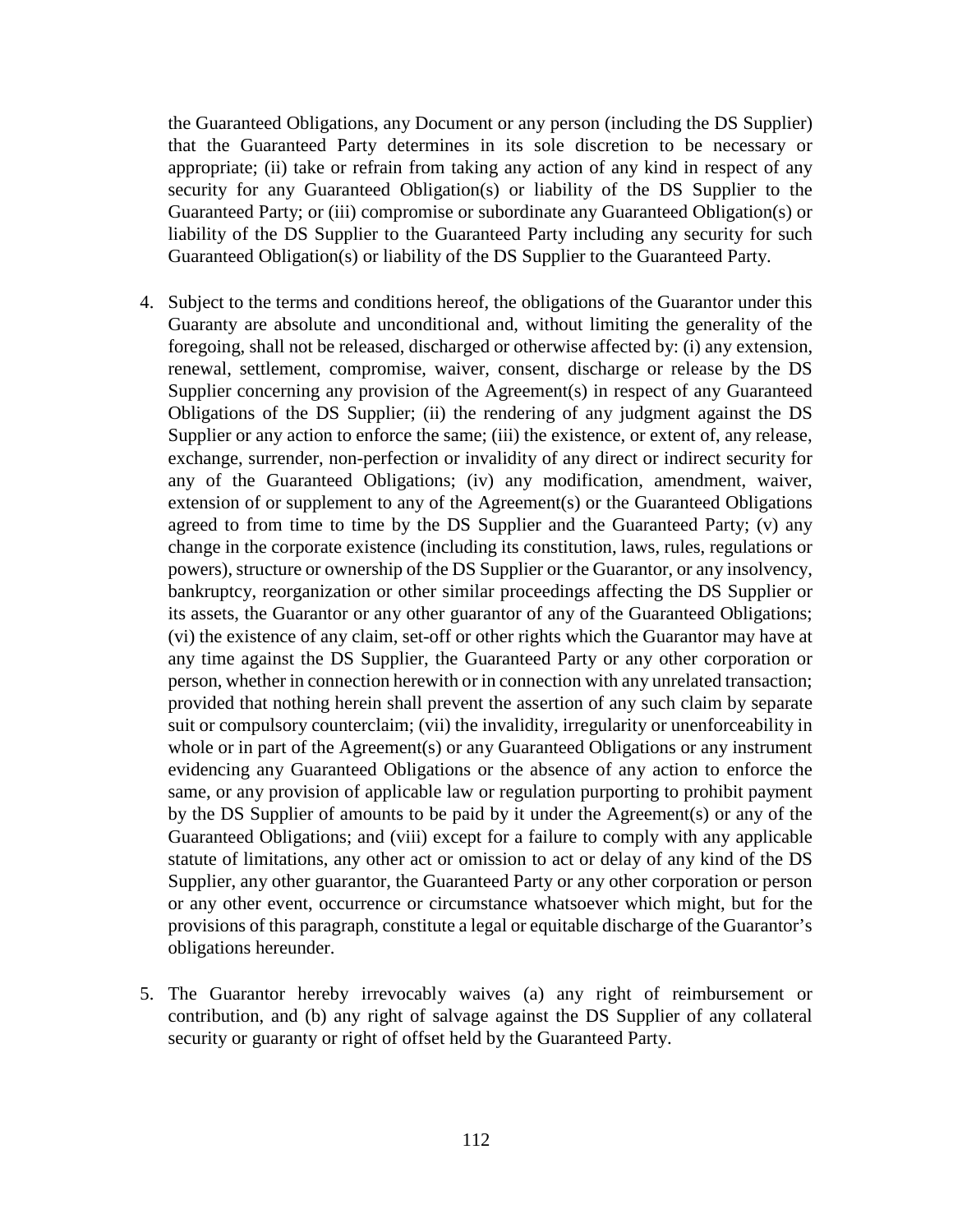the Guaranteed Obligations, any Document or any person (including the DS Supplier) that the Guaranteed Party determines in its sole discretion to be necessary or appropriate; (ii) take or refrain from taking any action of any kind in respect of any security for any Guaranteed Obligation(s) or liability of the DS Supplier to the Guaranteed Party; or (iii) compromise or subordinate any Guaranteed Obligation(s) or liability of the DS Supplier to the Guaranteed Party including any security for such Guaranteed Obligation(s) or liability of the DS Supplier to the Guaranteed Party.

- 4. Subject to the terms and conditions hereof, the obligations of the Guarantor under this Guaranty are absolute and unconditional and, without limiting the generality of the foregoing, shall not be released, discharged or otherwise affected by: (i) any extension, renewal, settlement, compromise, waiver, consent, discharge or release by the DS Supplier concerning any provision of the Agreement(s) in respect of any Guaranteed Obligations of the DS Supplier; (ii) the rendering of any judgment against the DS Supplier or any action to enforce the same; (iii) the existence, or extent of, any release, exchange, surrender, non-perfection or invalidity of any direct or indirect security for any of the Guaranteed Obligations; (iv) any modification, amendment, waiver, extension of or supplement to any of the Agreement(s) or the Guaranteed Obligations agreed to from time to time by the DS Supplier and the Guaranteed Party; (v) any change in the corporate existence (including its constitution, laws, rules, regulations or powers), structure or ownership of the DS Supplier or the Guarantor, or any insolvency, bankruptcy, reorganization or other similar proceedings affecting the DS Supplier or its assets, the Guarantor or any other guarantor of any of the Guaranteed Obligations; (vi) the existence of any claim, set-off or other rights which the Guarantor may have at any time against the DS Supplier, the Guaranteed Party or any other corporation or person, whether in connection herewith or in connection with any unrelated transaction; provided that nothing herein shall prevent the assertion of any such claim by separate suit or compulsory counterclaim; (vii) the invalidity, irregularity or unenforceability in whole or in part of the Agreement(s) or any Guaranteed Obligations or any instrument evidencing any Guaranteed Obligations or the absence of any action to enforce the same, or any provision of applicable law or regulation purporting to prohibit payment by the DS Supplier of amounts to be paid by it under the Agreement(s) or any of the Guaranteed Obligations; and (viii) except for a failure to comply with any applicable statute of limitations, any other act or omission to act or delay of any kind of the DS Supplier, any other guarantor, the Guaranteed Party or any other corporation or person or any other event, occurrence or circumstance whatsoever which might, but for the provisions of this paragraph, constitute a legal or equitable discharge of the Guarantor's obligations hereunder.
- 5. The Guarantor hereby irrevocably waives (a) any right of reimbursement or contribution, and (b) any right of salvage against the DS Supplier of any collateral security or guaranty or right of offset held by the Guaranteed Party.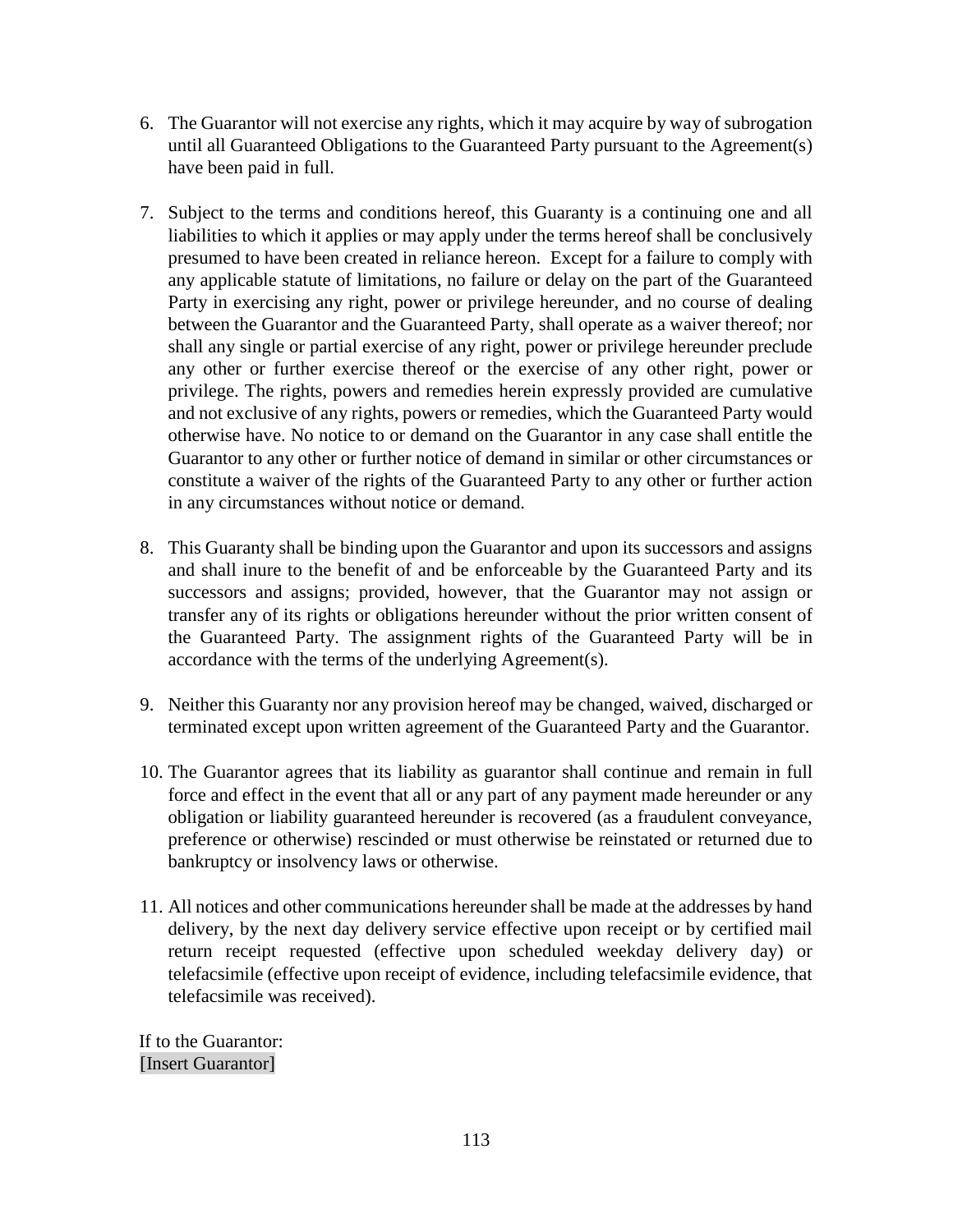- 6. The Guarantor will not exercise any rights, which it may acquire by way of subrogation until all Guaranteed Obligations to the Guaranteed Party pursuant to the Agreement(s) have been paid in full.
- 7. Subject to the terms and conditions hereof, this Guaranty is a continuing one and all liabilities to which it applies or may apply under the terms hereof shall be conclusively presumed to have been created in reliance hereon. Except for a failure to comply with any applicable statute of limitations, no failure or delay on the part of the Guaranteed Party in exercising any right, power or privilege hereunder, and no course of dealing between the Guarantor and the Guaranteed Party, shall operate as a waiver thereof; nor shall any single or partial exercise of any right, power or privilege hereunder preclude any other or further exercise thereof or the exercise of any other right, power or privilege. The rights, powers and remedies herein expressly provided are cumulative and not exclusive of any rights, powers or remedies, which the Guaranteed Party would otherwise have. No notice to or demand on the Guarantor in any case shall entitle the Guarantor to any other or further notice of demand in similar or other circumstances or constitute a waiver of the rights of the Guaranteed Party to any other or further action in any circumstances without notice or demand.
- 8. This Guaranty shall be binding upon the Guarantor and upon its successors and assigns and shall inure to the benefit of and be enforceable by the Guaranteed Party and its successors and assigns; provided, however, that the Guarantor may not assign or transfer any of its rights or obligations hereunder without the prior written consent of the Guaranteed Party. The assignment rights of the Guaranteed Party will be in accordance with the terms of the underlying Agreement(s).
- 9. Neither this Guaranty nor any provision hereof may be changed, waived, discharged or terminated except upon written agreement of the Guaranteed Party and the Guarantor.
- 10. The Guarantor agrees that its liability as guarantor shall continue and remain in full force and effect in the event that all or any part of any payment made hereunder or any obligation or liability guaranteed hereunder is recovered (as a fraudulent conveyance, preference or otherwise) rescinded or must otherwise be reinstated or returned due to bankruptcy or insolvency laws or otherwise.
- 11. All notices and other communications hereunder shall be made at the addresses by hand delivery, by the next day delivery service effective upon receipt or by certified mail return receipt requested (effective upon scheduled weekday delivery day) or telefacsimile (effective upon receipt of evidence, including telefacsimile evidence, that telefacsimile was received).

If to the Guarantor: [Insert Guarantor]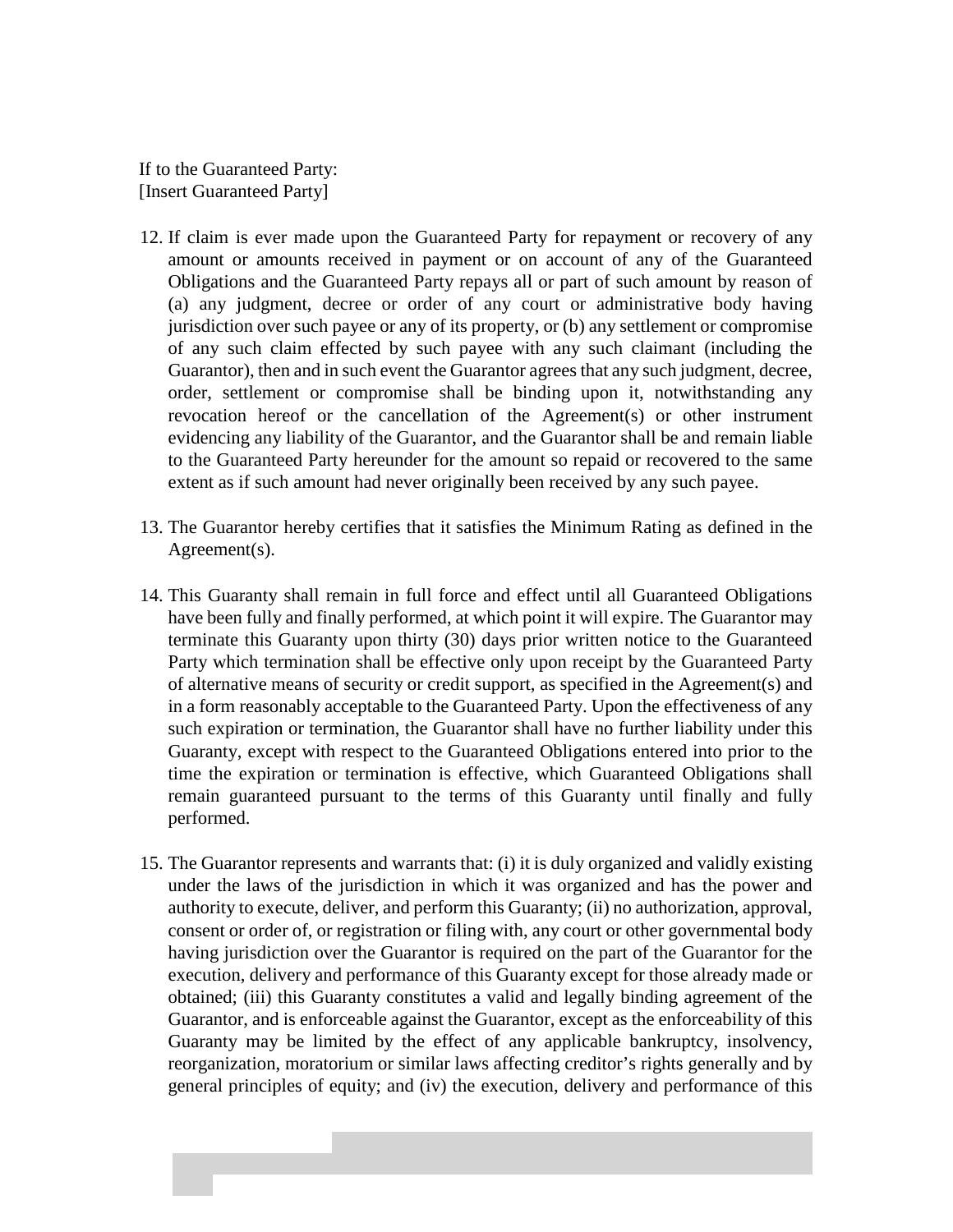If to the Guaranteed Party: [Insert Guaranteed Party]

- 12. If claim is ever made upon the Guaranteed Party for repayment or recovery of any amount or amounts received in payment or on account of any of the Guaranteed Obligations and the Guaranteed Party repays all or part of such amount by reason of (a) any judgment, decree or order of any court or administrative body having jurisdiction over such payee or any of its property, or (b) any settlement or compromise of any such claim effected by such payee with any such claimant (including the Guarantor), then and in such event the Guarantor agrees that any such judgment, decree, order, settlement or compromise shall be binding upon it, notwithstanding any revocation hereof or the cancellation of the Agreement(s) or other instrument evidencing any liability of the Guarantor, and the Guarantor shall be and remain liable to the Guaranteed Party hereunder for the amount so repaid or recovered to the same extent as if such amount had never originally been received by any such payee.
- 13. The Guarantor hereby certifies that it satisfies the Minimum Rating as defined in the Agreement(s).
- 14. This Guaranty shall remain in full force and effect until all Guaranteed Obligations have been fully and finally performed, at which point it will expire. The Guarantor may terminate this Guaranty upon thirty (30) days prior written notice to the Guaranteed Party which termination shall be effective only upon receipt by the Guaranteed Party of alternative means of security or credit support, as specified in the Agreement(s) and in a form reasonably acceptable to the Guaranteed Party. Upon the effectiveness of any such expiration or termination, the Guarantor shall have no further liability under this Guaranty, except with respect to the Guaranteed Obligations entered into prior to the time the expiration or termination is effective, which Guaranteed Obligations shall remain guaranteed pursuant to the terms of this Guaranty until finally and fully performed.
- 15. The Guarantor represents and warrants that: (i) it is duly organized and validly existing under the laws of the jurisdiction in which it was organized and has the power and authority to execute, deliver, and perform this Guaranty; (ii) no authorization, approval, consent or order of, or registration or filing with, any court or other governmental body having jurisdiction over the Guarantor is required on the part of the Guarantor for the execution, delivery and performance of this Guaranty except for those already made or obtained; (iii) this Guaranty constitutes a valid and legally binding agreement of the Guarantor, and is enforceable against the Guarantor, except as the enforceability of this Guaranty may be limited by the effect of any applicable bankruptcy, insolvency, reorganization, moratorium or similar laws affecting creditor's rights generally and by general principles of equity; and (iv) the execution, delivery and performance of this